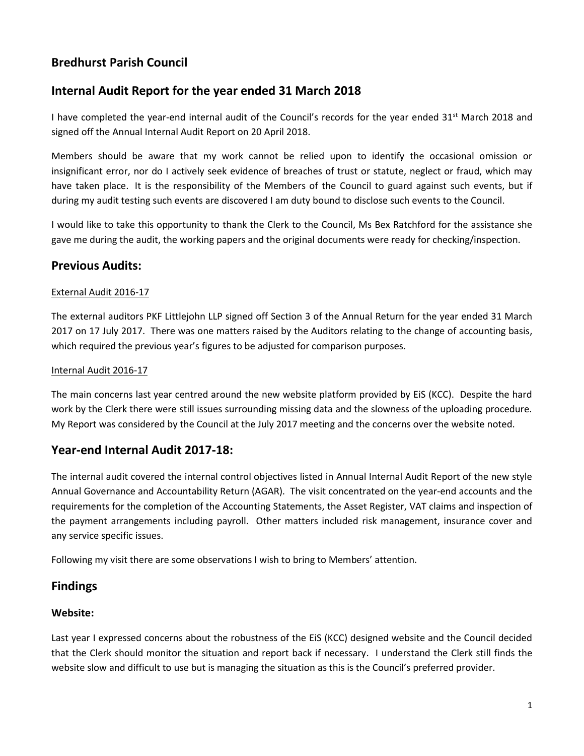# **Bredhurst Parish Council**

# **Internal Audit Report for the year ended 31 March 2018**

I have completed the year-end internal audit of the Council's records for the year ended  $31^{st}$  March 2018 and signed off the Annual Internal Audit Report on 20 April 2018.

Members should be aware that my work cannot be relied upon to identify the occasional omission or insignificant error, nor do I actively seek evidence of breaches of trust or statute, neglect or fraud, which may have taken place. It is the responsibility of the Members of the Council to guard against such events, but if during my audit testing such events are discovered I am duty bound to disclose such events to the Council.

I would like to take this opportunity to thank the Clerk to the Council, Ms Bex Ratchford for the assistance she gave me during the audit, the working papers and the original documents were ready for checking/inspection.

## **Previous Audits:**

### External Audit 2016-17

The external auditors PKF Littlejohn LLP signed off Section 3 of the Annual Return for the year ended 31 March 2017 on 17 July 2017. There was one matters raised by the Auditors relating to the change of accounting basis, which required the previous year's figures to be adjusted for comparison purposes.

### Internal Audit 2016-17

The main concerns last year centred around the new website platform provided by EiS (KCC). Despite the hard work by the Clerk there were still issues surrounding missing data and the slowness of the uploading procedure. My Report was considered by the Council at the July 2017 meeting and the concerns over the website noted.

## **Year-end Internal Audit 2017-18:**

The internal audit covered the internal control objectives listed in Annual Internal Audit Report of the new style Annual Governance and Accountability Return (AGAR). The visit concentrated on the year-end accounts and the requirements for the completion of the Accounting Statements, the Asset Register, VAT claims and inspection of the payment arrangements including payroll. Other matters included risk management, insurance cover and any service specific issues.

Following my visit there are some observations I wish to bring to Members' attention.

## **Findings**

## **Website:**

Last year I expressed concerns about the robustness of the EiS (KCC) designed website and the Council decided that the Clerk should monitor the situation and report back if necessary. I understand the Clerk still finds the website slow and difficult to use but is managing the situation as this is the Council's preferred provider.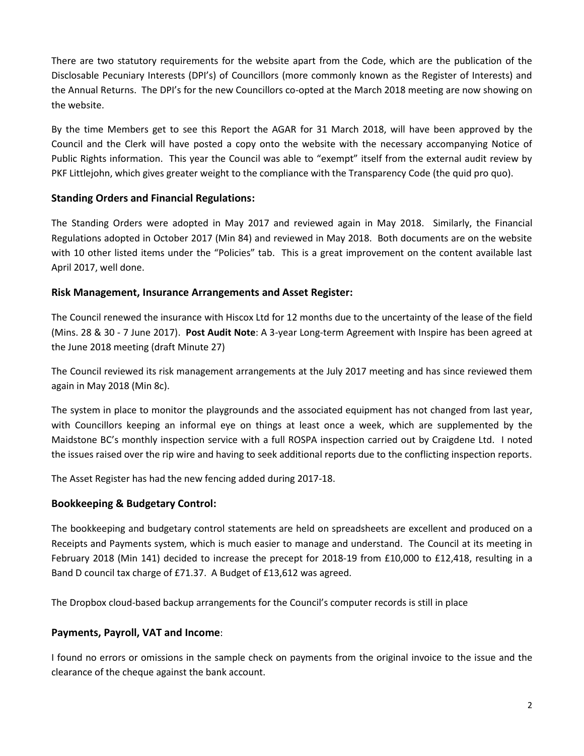There are two statutory requirements for the website apart from the Code, which are the publication of the Disclosable Pecuniary Interests (DPI's) of Councillors (more commonly known as the Register of Interests) and the Annual Returns. The DPI's for the new Councillors co-opted at the March 2018 meeting are now showing on the website.

By the time Members get to see this Report the AGAR for 31 March 2018, will have been approved by the Council and the Clerk will have posted a copy onto the website with the necessary accompanying Notice of Public Rights information. This year the Council was able to "exempt" itself from the external audit review by PKF Littlejohn, which gives greater weight to the compliance with the Transparency Code (the quid pro quo).

## **Standing Orders and Financial Regulations:**

The Standing Orders were adopted in May 2017 and reviewed again in May 2018. Similarly, the Financial Regulations adopted in October 2017 (Min 84) and reviewed in May 2018. Both documents are on the website with 10 other listed items under the "Policies" tab. This is a great improvement on the content available last April 2017, well done.

### **Risk Management, Insurance Arrangements and Asset Register:**

The Council renewed the insurance with Hiscox Ltd for 12 months due to the uncertainty of the lease of the field (Mins. 28 & 30 - 7 June 2017). **Post Audit Note**: A 3-year Long-term Agreement with Inspire has been agreed at the June 2018 meeting (draft Minute 27)

The Council reviewed its risk management arrangements at the July 2017 meeting and has since reviewed them again in May 2018 (Min 8c).

The system in place to monitor the playgrounds and the associated equipment has not changed from last year, with Councillors keeping an informal eye on things at least once a week, which are supplemented by the Maidstone BC's monthly inspection service with a full ROSPA inspection carried out by Craigdene Ltd. I noted the issues raised over the rip wire and having to seek additional reports due to the conflicting inspection reports.

The Asset Register has had the new fencing added during 2017-18.

## **Bookkeeping & Budgetary Control:**

The bookkeeping and budgetary control statements are held on spreadsheets are excellent and produced on a Receipts and Payments system, which is much easier to manage and understand. The Council at its meeting in February 2018 (Min 141) decided to increase the precept for 2018-19 from £10,000 to £12,418, resulting in a Band D council tax charge of £71.37. A Budget of £13,612 was agreed.

The Dropbox cloud-based backup arrangements for the Council's computer records is still in place

## **Payments, Payroll, VAT and Income**:

I found no errors or omissions in the sample check on payments from the original invoice to the issue and the clearance of the cheque against the bank account.